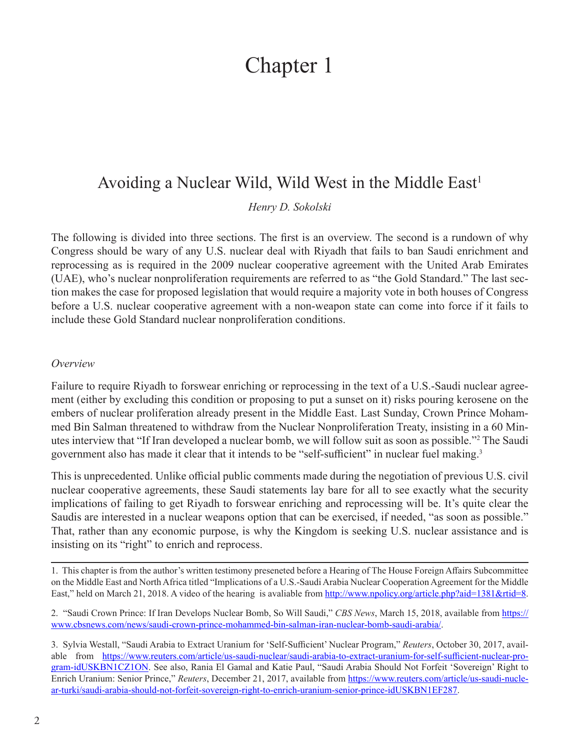# Chapter 1

# Avoiding a Nuclear Wild, Wild West in the Middle East<sup>1</sup>

*Henry D. Sokolski*

The following is divided into three sections. The first is an overview. The second is a rundown of why Congress should be wary of any U.S. nuclear deal with Riyadh that fails to ban Saudi enrichment and reprocessing as is required in the 2009 nuclear cooperative agreement with the United Arab Emirates (UAE), who's nuclear nonproliferation requirements are referred to as "the Gold Standard." The last section makes the case for proposed legislation that would require a majority vote in both houses of Congress before a U.S. nuclear cooperative agreement with a non-weapon state can come into force if it fails to include these Gold Standard nuclear nonproliferation conditions.

#### *Overview*

Failure to require Riyadh to forswear enriching or reprocessing in the text of a U.S.-Saudi nuclear agreement (either by excluding this condition or proposing to put a sunset on it) risks pouring kerosene on the embers of nuclear proliferation already present in the Middle East. Last Sunday, Crown Prince Mohammed Bin Salman threatened to withdraw from the Nuclear Nonproliferation Treaty, insisting in a 60 Minutes interview that "If Iran developed a nuclear bomb, we will follow suit as soon as possible."<sup>2</sup> The Saudi government also has made it clear that it intends to be "self-sufficient" in nuclear fuel making.<sup>3</sup>

This is unprecedented. Unlike official public comments made during the negotiation of previous U.S. civil nuclear cooperative agreements, these Saudi statements lay bare for all to see exactly what the security implications of failing to get Riyadh to forswear enriching and reprocessing will be. It's quite clear the Saudis are interested in a nuclear weapons option that can be exercised, if needed, "as soon as possible." That, rather than any economic purpose, is why the Kingdom is seeking U.S. nuclear assistance and is insisting on its "right" to enrich and reprocess.

1. This chapter is from the author's written testimony preseneted before a Hearing of The House Foreign Affairs Subcommittee on the Middle East and North Africa titled "Implications of a U.S.-Saudi Arabia Nuclear Cooperation Agreement for the Middle East," held on March 21, 2018. A video of the hearing is avaliable from [http://www.npolicy.org/article.php?aid=1381&rtid=8.](http://www.npolicy.org/article.php?aid=1381&rtid=8)

2. "Saudi Crown Prince: If Iran Develops Nuclear Bomb, So Will Saudi," *CBS News*, March 15, 2018, available from [https://](https://www.cbsnews.com/news/saudi-crown-prince-mohammed-bin-salman-iran-nuclear-bomb-saudi-arabia/) [www.cbsnews.com/news/saudi-crown-prince-mohammed-bin-salman-iran-nuclear-bomb-saudi-arabia/.](https://www.cbsnews.com/news/saudi-crown-prince-mohammed-bin-salman-iran-nuclear-bomb-saudi-arabia/)

3. Sylvia Westall, "Saudi Arabia to Extract Uranium for 'Self-Sufficient' Nuclear Program," *Reuters*, October 30, 2017, available from [https://www.reuters.com/article/us-saudi-nuclear/saudi-arabia-to-extract-uranium-for-self-sufficient-nuclear-pro](https://www.reuters.com/article/us-saudi-nuclear/saudi-arabia-to-extract-uranium-for-self-sufficient-nuclear-program-idUSKBN1CZ1ON)[gram-idUSKBN1CZ1ON](https://www.reuters.com/article/us-saudi-nuclear/saudi-arabia-to-extract-uranium-for-self-sufficient-nuclear-program-idUSKBN1CZ1ON). See also, Rania El Gamal and Katie Paul, "Saudi Arabia Should Not Forfeit 'Sovereign' Right to Enrich Uranium: Senior Prince," *Reuters*, December 21, 2017, available from [https://www.reuters.com/article/us-saudi-nucle](https://www.reuters.com/article/us-saudi-nuclear-turki/saudi-arabia-should-not-forfeit-sovereign-right-to-enrich-uranium-senior-prince-idUSKBN1EF287)[ar-turki/saudi-arabia-should-not-forfeit-sovereign-right-to-enrich-uranium-senior-prince-idUSKBN1EF287.](https://www.reuters.com/article/us-saudi-nuclear-turki/saudi-arabia-should-not-forfeit-sovereign-right-to-enrich-uranium-senior-prince-idUSKBN1EF287)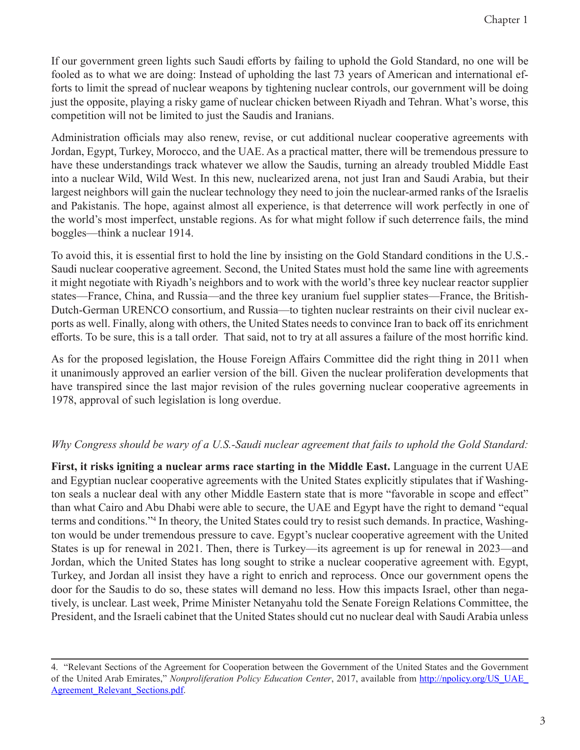If our government green lights such Saudi efforts by failing to uphold the Gold Standard, no one will be fooled as to what we are doing: Instead of upholding the last 73 years of American and international efforts to limit the spread of nuclear weapons by tightening nuclear controls, our government will be doing just the opposite, playing a risky game of nuclear chicken between Riyadh and Tehran. What's worse, this competition will not be limited to just the Saudis and Iranians.

Administration officials may also renew, revise, or cut additional nuclear cooperative agreements with Jordan, Egypt, Turkey, Morocco, and the UAE. As a practical matter, there will be tremendous pressure to have these understandings track whatever we allow the Saudis, turning an already troubled Middle East into a nuclear Wild, Wild West. In this new, nuclearized arena, not just Iran and Saudi Arabia, but their largest neighbors will gain the nuclear technology they need to join the nuclear-armed ranks of the Israelis and Pakistanis. The hope, against almost all experience, is that deterrence will work perfectly in one of the world's most imperfect, unstable regions. As for what might follow if such deterrence fails, the mind boggles—think a nuclear 1914.

To avoid this, it is essential first to hold the line by insisting on the Gold Standard conditions in the U.S.- Saudi nuclear cooperative agreement. Second, the United States must hold the same line with agreements it might negotiate with Riyadh's neighbors and to work with the world's three key nuclear reactor supplier states—France, China, and Russia—and the three key uranium fuel supplier states—France, the British-Dutch-German URENCO consortium, and Russia—to tighten nuclear restraints on their civil nuclear exports as well. Finally, along with others, the United States needs to convince Iran to back off its enrichment efforts. To be sure, this is a tall order. That said, not to try at all assures a failure of the most horrific kind.

As for the proposed legislation, the House Foreign Affairs Committee did the right thing in 2011 when it unanimously approved an earlier version of the bill. Given the nuclear proliferation developments that have transpired since the last major revision of the rules governing nuclear cooperative agreements in 1978, approval of such legislation is long overdue.

### *Why Congress should be wary of a U.S.-Saudi nuclear agreement that fails to uphold the Gold Standard:*

**First, it risks igniting a nuclear arms race starting in the Middle East.** Language in the current UAE and Egyptian nuclear cooperative agreements with the United States explicitly stipulates that if Washington seals a nuclear deal with any other Middle Eastern state that is more "favorable in scope and effect" than what Cairo and Abu Dhabi were able to secure, the UAE and Egypt have the right to demand "equal terms and conditions."<sup>4</sup> In theory, the United States could try to resist such demands. In practice, Washington would be under tremendous pressure to cave. Egypt's nuclear cooperative agreement with the United States is up for renewal in 2021. Then, there is Turkey—its agreement is up for renewal in 2023—and Jordan, which the United States has long sought to strike a nuclear cooperative agreement with. Egypt, Turkey, and Jordan all insist they have a right to enrich and reprocess. Once our government opens the door for the Saudis to do so, these states will demand no less. How this impacts Israel, other than negatively, is unclear. Last week, Prime Minister Netanyahu told the Senate Foreign Relations Committee, the President, and the Israeli cabinet that the United States should cut no nuclear deal with Saudi Arabia unless

<sup>4. &</sup>quot;Relevant Sections of the Agreement for Cooperation between the Government of the United States and the Government of the United Arab Emirates," *Nonproliferation Policy Education Center*, 2017, available from [http://npolicy.org/US\\_UAE\\_](http://npolicy.org/US_UAE_Agreement_Relevant_Sections.pdf) Agreement Relevant Sections.pdf.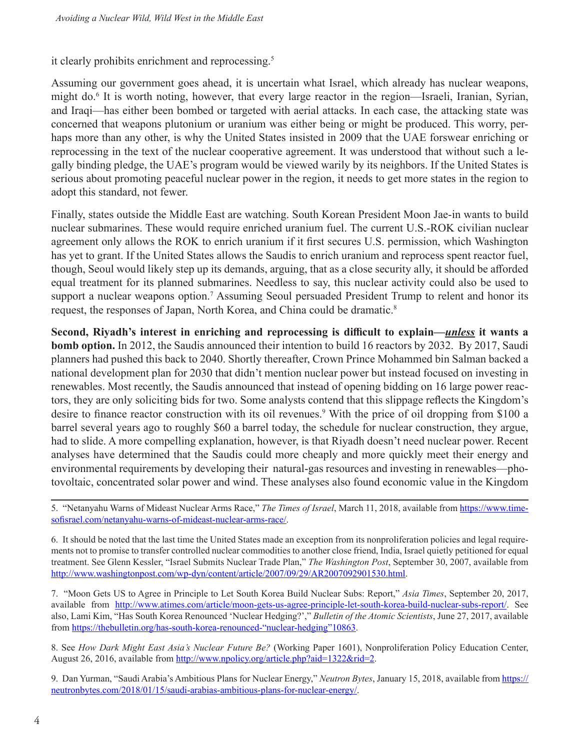it clearly prohibits enrichment and reprocessing.<sup>5</sup>

Assuming our government goes ahead, it is uncertain what Israel, which already has nuclear weapons, might do.6 It is worth noting, however, that every large reactor in the region—Israeli, Iranian, Syrian, and Iraqi—has either been bombed or targeted with aerial attacks. In each case, the attacking state was concerned that weapons plutonium or uranium was either being or might be produced. This worry, perhaps more than any other, is why the United States insisted in 2009 that the UAE forswear enriching or reprocessing in the text of the nuclear cooperative agreement. It was understood that without such a legally binding pledge, the UAE's program would be viewed warily by its neighbors. If the United States is serious about promoting peaceful nuclear power in the region, it needs to get more states in the region to adopt this standard, not fewer.

Finally, states outside the Middle East are watching. South Korean President Moon Jae-in wants to build nuclear submarines. These would require enriched uranium fuel. The current U.S.-ROK civilian nuclear agreement only allows the ROK to enrich uranium if it first secures U.S. permission, which Washington has yet to grant. If the United States allows the Saudis to enrich uranium and reprocess spent reactor fuel, though, Seoul would likely step up its demands, arguing, that as a close security ally, it should be afforded equal treatment for its planned submarines. Needless to say, this nuclear activity could also be used to support a nuclear weapons option.<sup>7</sup> Assuming Seoul persuaded President Trump to relent and honor its request, the responses of Japan, North Korea, and China could be dramatic.8

**Second, Riyadh's interest in enriching and reprocessing is difficult to explain—***unless* **it wants a bomb option.** In 2012, the Saudis announced their intention to build 16 reactors by 2032. By 2017, Saudi planners had pushed this back to 2040. Shortly thereafter, Crown Prince Mohammed bin Salman backed a national development plan for 2030 that didn't mention nuclear power but instead focused on investing in renewables. Most recently, the Saudis announced that instead of opening bidding on 16 large power reactors, they are only soliciting bids for two. Some analysts contend that this slippage reflects the Kingdom's desire to finance reactor construction with its oil revenues.<sup>9</sup> With the price of oil dropping from \$100 a barrel several years ago to roughly \$60 a barrel today, the schedule for nuclear construction, they argue, had to slide. A more compelling explanation, however, is that Riyadh doesn't need nuclear power. Recent analyses have determined that the Saudis could more cheaply and more quickly meet their energy and environmental requirements by developing their natural-gas resources and investing in renewables—photovoltaic, concentrated solar power and wind. These analyses also found economic value in the Kingdom

7. "Moon Gets US to Agree in Principle to Let South Korea Build Nuclear Subs: Report," *Asia Times*, September 20, 2017, available from <http://www.atimes.com/article/moon-gets-us-agree-principle-let-south-korea-build-nuclear-subs-report/>. See also, Lami Kim, "Has South Korea Renounced 'Nuclear Hedging?'," *Bulletin of the Atomic Scientists*, June 27, 2017, available from [https://thebulletin.org/has-south-korea-renounced-"nuclear-hedging"10863](https://thebulletin.org/has-south-korea-renounced-%E2%80%9Cnuclear-hedging%E2%80%9D10863).

8. See *How Dark Might East Asia's Nuclear Future Be?* (Working Paper 1601), Nonproliferation Policy Education Center, August 26, 2016, available from <http://www.npolicy.org/article.php?aid=1322&rid=2>.

9. Dan Yurman, "Saudi Arabia's Ambitious Plans for Nuclear Energy," *Neutron Bytes*, January 15, 2018, available from [https://](https://neutronbytes.com/2018/01/15/saudi-arabias-ambitious-plans-for-nuclear-energy/) [neutronbytes.com/2018/01/15/saudi-arabias-ambitious-plans-for-nuclear-energy/.](https://neutronbytes.com/2018/01/15/saudi-arabias-ambitious-plans-for-nuclear-energy/)

<sup>5. &</sup>quot;Netanyahu Warns of Mideast Nuclear Arms Race," *The Times of Israel*, March 11, 2018, available from [https://www.time](https://www.timesofisrael.com/netanyahu-warns-of-mideast-nuclear-arms-race/)[sofisrael.com/netanyahu-warns-of-mideast-nuclear-arms-race/](https://www.timesofisrael.com/netanyahu-warns-of-mideast-nuclear-arms-race/).

<sup>6.</sup> It should be noted that the last time the United States made an exception from its nonproliferation policies and legal requirements not to promise to transfer controlled nuclear commodities to another close friend, India, Israel quietly petitioned for equal treatment. See Glenn Kessler, "Israel Submits Nuclear Trade Plan," *The Washington Post*, September 30, 2007, available from <http://www.washingtonpost.com/wp-dyn/content/article/2007/09/29/AR2007092901530.html>.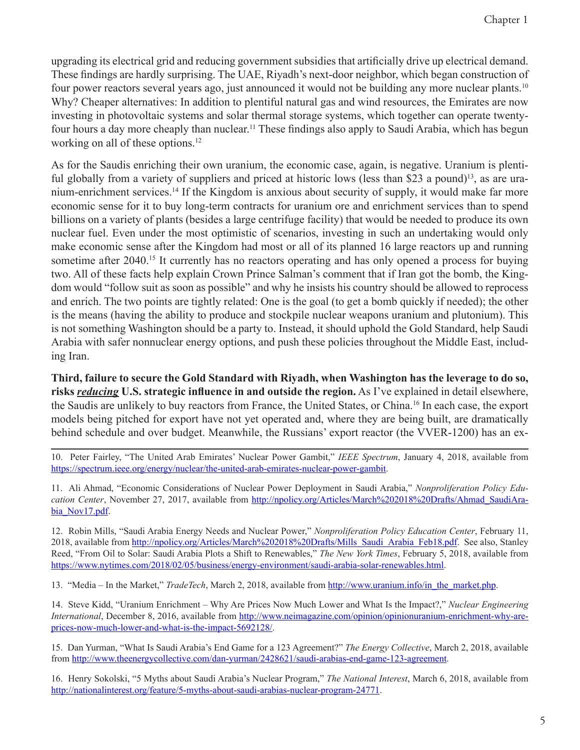upgrading its electrical grid and reducing government subsidies that artificially drive up electrical demand. These findings are hardly surprising. The UAE, Riyadh's next-door neighbor, which began construction of four power reactors several years ago, just announced it would not be building any more nuclear plants.<sup>10</sup> Why? Cheaper alternatives: In addition to plentiful natural gas and wind resources, the Emirates are now investing in photovoltaic systems and solar thermal storage systems, which together can operate twentyfour hours a day more cheaply than nuclear.<sup>11</sup> These findings also apply to Saudi Arabia, which has begun working on all of these options.<sup>12</sup>

As for the Saudis enriching their own uranium, the economic case, again, is negative. Uranium is plentiful globally from a variety of suppliers and priced at historic lows (less than \$23 a pound)<sup>13</sup>, as are uranium-enrichment services.14 If the Kingdom is anxious about security of supply, it would make far more economic sense for it to buy long-term contracts for uranium ore and enrichment services than to spend billions on a variety of plants (besides a large centrifuge facility) that would be needed to produce its own nuclear fuel. Even under the most optimistic of scenarios, investing in such an undertaking would only make economic sense after the Kingdom had most or all of its planned 16 large reactors up and running sometime after 2040.<sup>15</sup> It currently has no reactors operating and has only opened a process for buying two. All of these facts help explain Crown Prince Salman's comment that if Iran got the bomb, the Kingdom would "follow suit as soon as possible" and why he insists his country should be allowed to reprocess and enrich. The two points are tightly related: One is the goal (to get a bomb quickly if needed); the other is the means (having the ability to produce and stockpile nuclear weapons uranium and plutonium). This is not something Washington should be a party to. Instead, it should uphold the Gold Standard, help Saudi Arabia with safer nonnuclear energy options, and push these policies throughout the Middle East, including Iran.

**Third, failure to secure the Gold Standard with Riyadh, when Washington has the leverage to do so, risks** *reducing* **U.S. strategic influence in and outside the region.** As I've explained in detail elsewhere, the Saudis are unlikely to buy reactors from France, the United States, or China.16 In each case, the export models being pitched for export have not yet operated and, where they are being built, are dramatically behind schedule and over budget. Meanwhile, the Russians' export reactor (the VVER-1200) has an ex-

10. Peter Fairley, "The United Arab Emirates' Nuclear Power Gambit," *IEEE Spectrum*, January 4, 2018, available from [https://spectrum.ieee.org/energy/nuclear/the-united-arab-emirates-nuclear-power-gambit.](https://spectrum.ieee.org/energy/nuclear/the-united-arab-emirates-nuclear-power-gambit)

11. Ali Ahmad, "Economic Considerations of Nuclear Power Deployment in Saudi Arabia," *Nonproliferation Policy Education Center*, November 27, 2017, available from [http://npolicy.org/Articles/March%202018%20Drafts/Ahmad\\_SaudiAra](http://npolicy.org/Articles/March%202018%20Drafts/Ahmad_SaudiArabia_Nov17.pdf)[bia\\_Nov17.pdf](http://npolicy.org/Articles/March%202018%20Drafts/Ahmad_SaudiArabia_Nov17.pdf).

12. Robin Mills, "Saudi Arabia Energy Needs and Nuclear Power," *Nonproliferation Policy Education Center*, February 11, 2018, available from [http://npolicy.org/Articles/March%202018%20Drafts/Mills\\_Saudi\\_Arabia\\_Feb18.pdf.](http://npolicy.org/Articles/March%202018%20Drafts/Mills_Saudi_Arabia_Feb18.pdf) See also, Stanley Reed, "From Oil to Solar: Saudi Arabia Plots a Shift to Renewables," *The New York Times*, February 5, 2018, available from [https://www.nytimes.com/2018/02/05/business/energy-environment/saudi-arabia-solar-renewables.html.](https://www.nytimes.com/2018/02/05/business/energy-environment/saudi-arabia-solar-renewables.html)

13. "Media – In the Market," *TradeTech*, March 2, 2018, available from [http://www.uranium.info/in\\_the\\_market.php.](http://www.uranium.info/in_the_market.php)

14. Steve Kidd, "Uranium Enrichment – Why Are Prices Now Much Lower and What Is the Impact?," *Nuclear Engineering International*, December 8, 2016, available from [http://www.neimagazine.com/opinion/opinionuranium-enrichment-why-are](http://www.neimagazine.com/opinion/opinionuranium-enrichment-why-are-prices-now-much-lower-and-what-is-the-impact-5692128/)[prices-now-much-lower-and-what-is-the-impact-5692128/.](http://www.neimagazine.com/opinion/opinionuranium-enrichment-why-are-prices-now-much-lower-and-what-is-the-impact-5692128/)

15. Dan Yurman, "What Is Saudi Arabia's End Game for a 123 Agreement?" *The Energy Collective*, March 2, 2018, available from [http://www.theenergycollective.com/dan-yurman/2428621/saudi-arabias-end-game-123-agreement.](http://www.theenergycollective.com/dan-yurman/2428621/saudi-arabias-end-game-123-agreement)

16. Henry Sokolski, "5 Myths about Saudi Arabia's Nuclear Program," *The National Interest*, March 6, 2018, available from [http://nationalinterest.org/feature/5-myths-about-saudi-arabias-nuclear-program-24771.](http://nationalinterest.org/feature/5-myths-about-saudi-arabias-nuclear-program-24771)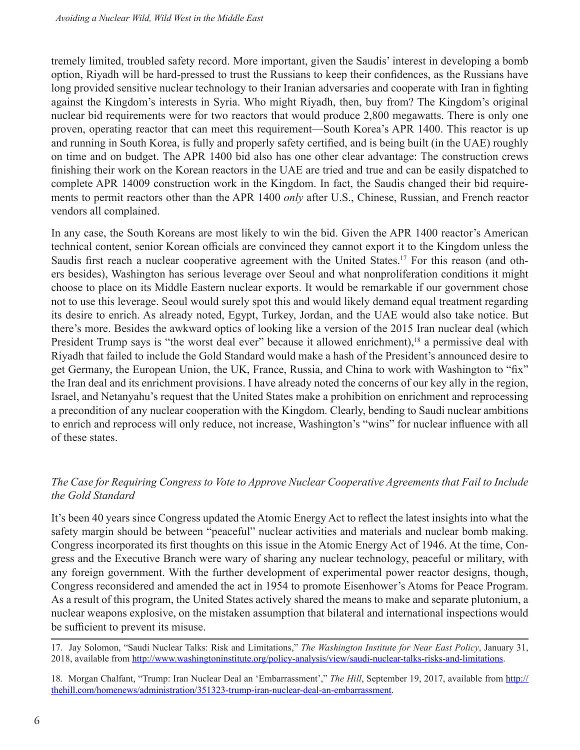tremely limited, troubled safety record. More important, given the Saudis' interest in developing a bomb option, Riyadh will be hard-pressed to trust the Russians to keep their confidences, as the Russians have long provided sensitive nuclear technology to their Iranian adversaries and cooperate with Iran in fighting against the Kingdom's interests in Syria. Who might Riyadh, then, buy from? The Kingdom's original nuclear bid requirements were for two reactors that would produce 2,800 megawatts. There is only one proven, operating reactor that can meet this requirement—South Korea's APR 1400. This reactor is up and running in South Korea, is fully and properly safety certified, and is being built (in the UAE) roughly on time and on budget. The APR 1400 bid also has one other clear advantage: The construction crews finishing their work on the Korean reactors in the UAE are tried and true and can be easily dispatched to complete APR 14009 construction work in the Kingdom. In fact, the Saudis changed their bid requirements to permit reactors other than the APR 1400 *only* after U.S., Chinese, Russian, and French reactor vendors all complained.

In any case, the South Koreans are most likely to win the bid. Given the APR 1400 reactor's American technical content, senior Korean officials are convinced they cannot export it to the Kingdom unless the Saudis first reach a nuclear cooperative agreement with the United States.<sup>17</sup> For this reason (and others besides), Washington has serious leverage over Seoul and what nonproliferation conditions it might choose to place on its Middle Eastern nuclear exports. It would be remarkable if our government chose not to use this leverage. Seoul would surely spot this and would likely demand equal treatment regarding its desire to enrich. As already noted, Egypt, Turkey, Jordan, and the UAE would also take notice. But there's more. Besides the awkward optics of looking like a version of the 2015 Iran nuclear deal (which President Trump says is "the worst deal ever" because it allowed enrichment),<sup>18</sup> a permissive deal with Riyadh that failed to include the Gold Standard would make a hash of the President's announced desire to get Germany, the European Union, the UK, France, Russia, and China to work with Washington to "fix" the Iran deal and its enrichment provisions. I have already noted the concerns of our key ally in the region, Israel, and Netanyahu's request that the United States make a prohibition on enrichment and reprocessing a precondition of any nuclear cooperation with the Kingdom. Clearly, bending to Saudi nuclear ambitions to enrich and reprocess will only reduce, not increase, Washington's "wins" for nuclear influence with all of these states.

## *The Case for Requiring Congress to Vote to Approve Nuclear Cooperative Agreements that Fail to Include the Gold Standard*

It's been 40 years since Congress updated the Atomic Energy Act to reflect the latest insights into what the safety margin should be between "peaceful" nuclear activities and materials and nuclear bomb making. Congress incorporated its first thoughts on this issue in the Atomic Energy Act of 1946. At the time, Congress and the Executive Branch were wary of sharing any nuclear technology, peaceful or military, with any foreign government. With the further development of experimental power reactor designs, though, Congress reconsidered and amended the act in 1954 to promote Eisenhower's Atoms for Peace Program. As a result of this program, the United States actively shared the means to make and separate plutonium, a nuclear weapons explosive, on the mistaken assumption that bilateral and international inspections would be sufficient to prevent its misuse.

18. Morgan Chalfant, "Trump: Iran Nuclear Deal an 'Embarrassment'," *The Hill*, September 19, 2017, available from [http://](http://thehill.com/homenews/administration/351323-trump-iran-nuclear-deal-an-embarrassment) [thehill.com/homenews/administration/351323-trump-iran-nuclear-deal-an-embarrassment](http://thehill.com/homenews/administration/351323-trump-iran-nuclear-deal-an-embarrassment).

<sup>17.</sup> Jay Solomon, "Saudi Nuclear Talks: Risk and Limitations," *The Washington Institute for Near East Policy*, January 31, 2018, available from <http://www.washingtoninstitute.org/policy-analysis/view/saudi-nuclear-talks-risks-and-limitations>.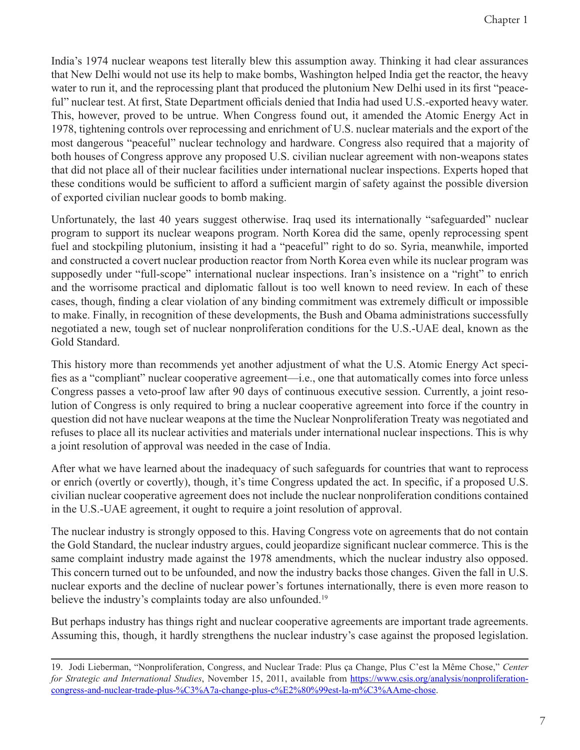India's 1974 nuclear weapons test literally blew this assumption away. Thinking it had clear assurances that New Delhi would not use its help to make bombs, Washington helped India get the reactor, the heavy water to run it, and the reprocessing plant that produced the plutonium New Delhi used in its first "peaceful" nuclear test. At first, State Department officials denied that India had used U.S.-exported heavy water. This, however, proved to be untrue. When Congress found out, it amended the Atomic Energy Act in 1978, tightening controls over reprocessing and enrichment of U.S. nuclear materials and the export of the most dangerous "peaceful" nuclear technology and hardware. Congress also required that a majority of both houses of Congress approve any proposed U.S. civilian nuclear agreement with non-weapons states that did not place all of their nuclear facilities under international nuclear inspections. Experts hoped that these conditions would be sufficient to afford a sufficient margin of safety against the possible diversion of exported civilian nuclear goods to bomb making.

Unfortunately, the last 40 years suggest otherwise. Iraq used its internationally "safeguarded" nuclear program to support its nuclear weapons program. North Korea did the same, openly reprocessing spent fuel and stockpiling plutonium, insisting it had a "peaceful" right to do so. Syria, meanwhile, imported and constructed a covert nuclear production reactor from North Korea even while its nuclear program was supposedly under "full-scope" international nuclear inspections. Iran's insistence on a "right" to enrich and the worrisome practical and diplomatic fallout is too well known to need review. In each of these cases, though, finding a clear violation of any binding commitment was extremely difficult or impossible to make. Finally, in recognition of these developments, the Bush and Obama administrations successfully negotiated a new, tough set of nuclear nonproliferation conditions for the U.S.-UAE deal, known as the Gold Standard.

This history more than recommends yet another adjustment of what the U.S. Atomic Energy Act specifies as a "compliant" nuclear cooperative agreement—i.e., one that automatically comes into force unless Congress passes a veto-proof law after 90 days of continuous executive session. Currently, a joint resolution of Congress is only required to bring a nuclear cooperative agreement into force if the country in question did not have nuclear weapons at the time the Nuclear Nonproliferation Treaty was negotiated and refuses to place all its nuclear activities and materials under international nuclear inspections. This is why a joint resolution of approval was needed in the case of India.

After what we have learned about the inadequacy of such safeguards for countries that want to reprocess or enrich (overtly or covertly), though, it's time Congress updated the act. In specific, if a proposed U.S. civilian nuclear cooperative agreement does not include the nuclear nonproliferation conditions contained in the U.S.-UAE agreement, it ought to require a joint resolution of approval.

The nuclear industry is strongly opposed to this. Having Congress vote on agreements that do not contain the Gold Standard, the nuclear industry argues, could jeopardize significant nuclear commerce. This is the same complaint industry made against the 1978 amendments, which the nuclear industry also opposed. This concern turned out to be unfounded, and now the industry backs those changes. Given the fall in U.S. nuclear exports and the decline of nuclear power's fortunes internationally, there is even more reason to believe the industry's complaints today are also unfounded.<sup>19</sup>

But perhaps industry has things right and nuclear cooperative agreements are important trade agreements. Assuming this, though, it hardly strengthens the nuclear industry's case against the proposed legislation.

<sup>19.</sup> Jodi Lieberman, "Nonproliferation, Congress, and Nuclear Trade: Plus ça Change, Plus C'est la Même Chose," *Center for Strategic and International Studies*, November 15, 2011, available from [https://www.csis.org/analysis/nonproliferation](https://www.csis.org/analysis/nonproliferation-congress-and-nuclear-trade-plus-%C3%A7a-change-plus-c%E2%80%99est-la-m%C3%AAme-chose)[congress-and-nuclear-trade-plus-%C3%A7a-change-plus-c%E2%80%99est-la-m%C3%AAme-chose](https://www.csis.org/analysis/nonproliferation-congress-and-nuclear-trade-plus-%C3%A7a-change-plus-c%E2%80%99est-la-m%C3%AAme-chose).